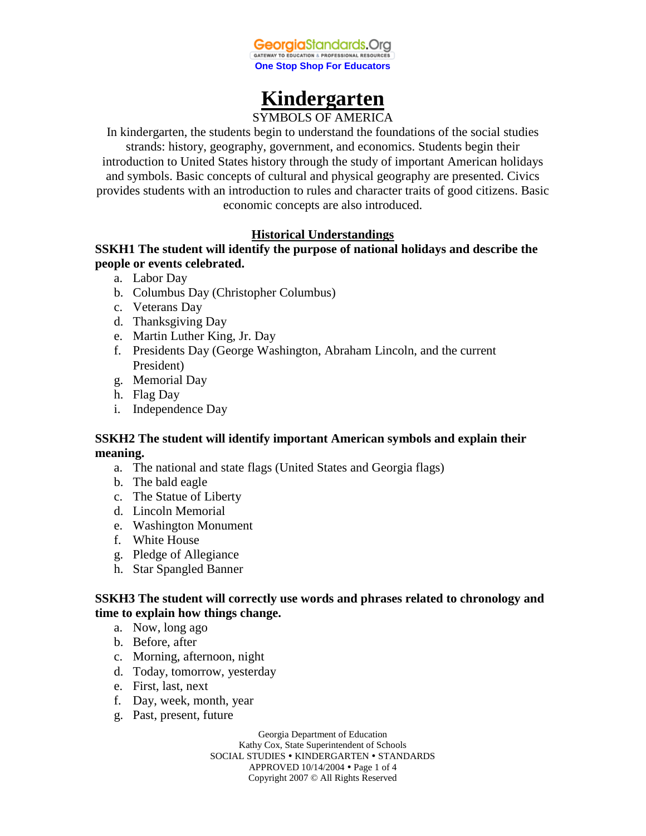

# **Kindergarten**

SYMBOLS OF AMERICA

In kindergarten, the students begin to understand the foundations of the social studies strands: history, geography, government, and economics. Students begin their introduction to United States history through the study of important American holidays and symbols. Basic concepts of cultural and physical geography are presented. Civics provides students with an introduction to rules and character traits of good citizens. Basic economic concepts are also introduced.

# **Historical Understandings**

# **SSKH1 The student will identify the purpose of national holidays and describe the people or events celebrated.**

- a. Labor Day
- b. Columbus Day (Christopher Columbus)
- c. Veterans Day
- d. Thanksgiving Day
- e. Martin Luther King, Jr. Day
- f. Presidents Day (George Washington, Abraham Lincoln, and the current President)
- g. Memorial Day
- h. Flag Day
- i. Independence Day

# **SSKH2 The student will identify important American symbols and explain their meaning.**

- a. The national and state flags (United States and Georgia flags)
- b. The bald eagle
- c. The Statue of Liberty
- d. Lincoln Memorial
- e. Washington Monument
- f. White House
- g. Pledge of Allegiance
- h. Star Spangled Banner

### **SSKH3 The student will correctly use words and phrases related to chronology and time to explain how things change.**

- a. Now, long ago
- b. Before, after
- c. Morning, afternoon, night
- d. Today, tomorrow, yesterday
- e. First, last, next
- f. Day, week, month, year
- g. Past, present, future

Georgia Department of Education Kathy Cox, State Superintendent of Schools SOCIAL STUDIES • KINDERGARTEN • STANDARDS APPROVED 10/14/2004 Page 1 of 4 Copyright 2007 © All Rights Reserved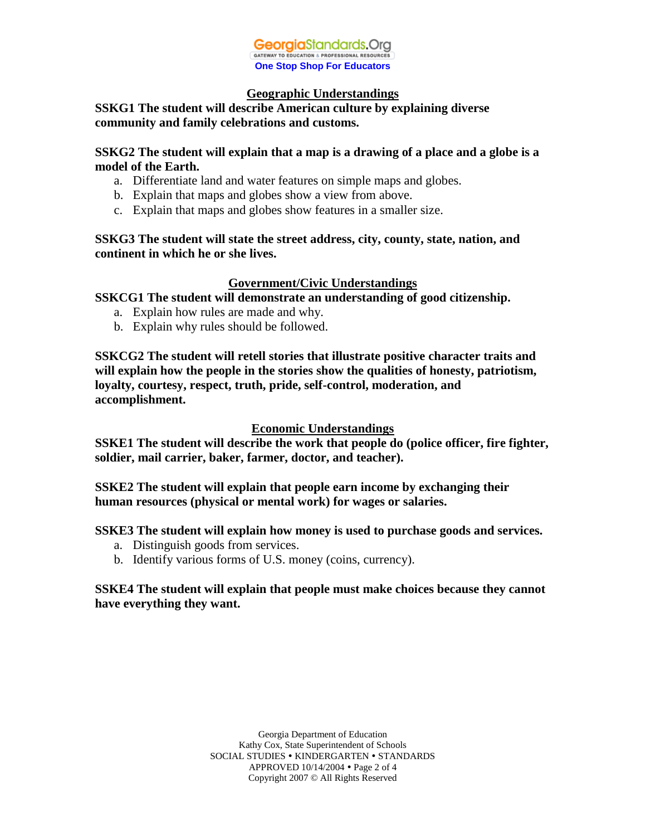

#### **Geographic Understandings**

# **SSKG1 The student will describe American culture by explaining diverse community and family celebrations and customs.**

### **SSKG2 The student will explain that a map is a drawing of a place and a globe is a model of the Earth.**

- a. Differentiate land and water features on simple maps and globes.
- b. Explain that maps and globes show a view from above.
- c. Explain that maps and globes show features in a smaller size.

### **SSKG3 The student will state the street address, city, county, state, nation, and continent in which he or she lives.**

# **Government/Civic Understandings**

**SSKCG1 The student will demonstrate an understanding of good citizenship.**

- a. Explain how rules are made and why.
- b. Explain why rules should be followed.

**SSKCG2 The student will retell stories that illustrate positive character traits and will explain how the people in the stories show the qualities of honesty, patriotism, loyalty, courtesy, respect, truth, pride, self-control, moderation, and accomplishment.**

### **Economic Understandings**

**SSKE1 The student will describe the work that people do (police officer, fire fighter, soldier, mail carrier, baker, farmer, doctor, and teacher).**

**SSKE2 The student will explain that people earn income by exchanging their human resources (physical or mental work) for wages or salaries.**

**SSKE3 The student will explain how money is used to purchase goods and services.**

- a. Distinguish goods from services.
- b. Identify various forms of U.S. money (coins, currency).

# **SSKE4 The student will explain that people must make choices because they cannot have everything they want.**

Georgia Department of Education Kathy Cox, State Superintendent of Schools SOCIAL STUDIES • KINDERGARTEN • STANDARDS APPROVED 10/14/2004 Page 2 of 4 Copyright 2007 © All Rights Reserved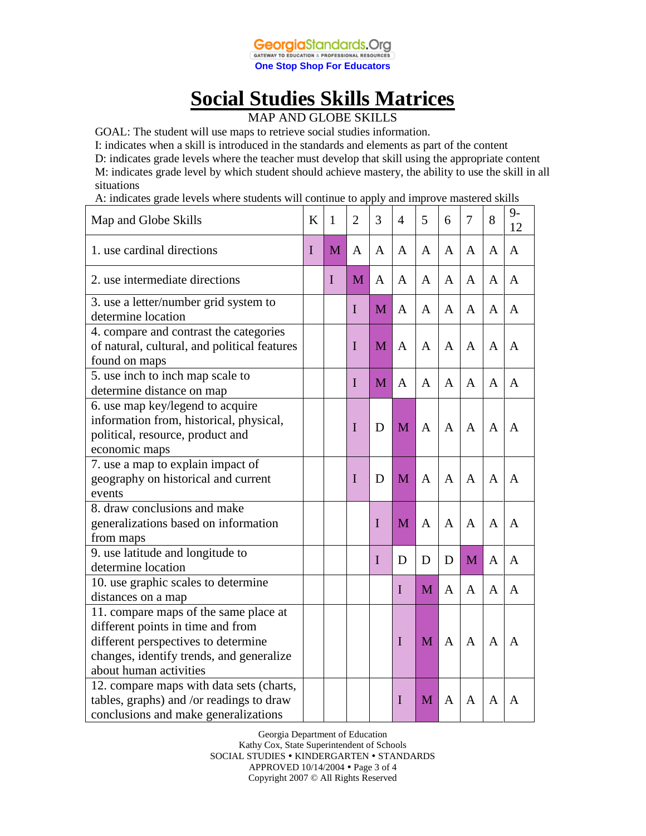

# **Social Studies Skills Matrices**

MAP AND GLOBE SKILLS

GOAL: The student will use maps to retrieve social studies information.

I: indicates when a skill is introduced in the standards and elements as part of the content D: indicates grade levels where the teacher must develop that skill using the appropriate content M: indicates grade level by which student should achieve mastery, the ability to use the skill in all situations

A: indicates grade levels where students will continue to apply and improve mastered skills

| Map and Globe Skills                                                                                                                                                                    | K           | 1           | $\overline{2}$ | 3           | $\overline{4}$ | 5            | 6              | 7 | 8              | $9-$<br>12   |
|-----------------------------------------------------------------------------------------------------------------------------------------------------------------------------------------|-------------|-------------|----------------|-------------|----------------|--------------|----------------|---|----------------|--------------|
| 1. use cardinal directions                                                                                                                                                              | $\mathbf I$ | M           | A              | A           | A              | A            | $\overline{A}$ | A | $\mathbf{A}$   | $\mathbf{A}$ |
| 2. use intermediate directions                                                                                                                                                          |             | $\mathbf I$ | M              | A           | A              | A            | A              | A | $\mathbf{A}$   | A            |
| 3. use a letter/number grid system to<br>determine location                                                                                                                             |             |             | I              | M           | A              | A            | A              | A | A              | A            |
| 4. compare and contrast the categories<br>of natural, cultural, and political features<br>found on maps                                                                                 |             |             | I              | M           | $\mathsf{A}$   | $\mathsf{A}$ | $\overline{A}$ | A | $\mathsf{A}$   | A            |
| 5. use inch to inch map scale to<br>determine distance on map                                                                                                                           |             |             | $\mathbf I$    | M           | A              | $\mathbf{A}$ | A              | A | $\mathsf{A}$   | A            |
| 6. use map key/legend to acquire<br>information from, historical, physical,<br>political, resource, product and<br>economic maps                                                        |             |             | I              | D           | M              | $\mathbf{A}$ | $\mathbf{A}$   | A | A              | A            |
| 7. use a map to explain impact of<br>geography on historical and current<br>events                                                                                                      |             |             | I              | D           | M              | A            | A              | A | A              | A            |
| 8. draw conclusions and make<br>generalizations based on information<br>from maps                                                                                                       |             |             |                | $\mathbf I$ | M              | A            | $\overline{A}$ | A | A              | A            |
| 9. use latitude and longitude to<br>determine location                                                                                                                                  |             |             |                | $\mathbf I$ | D              | D            | D              | M | $\overline{A}$ | A            |
| 10. use graphic scales to determine<br>distances on a map                                                                                                                               |             |             |                |             | $\mathbf I$    | M            | A              | A | $\mathbf{A}$   | A            |
| 11. compare maps of the same place at<br>different points in time and from<br>different perspectives to determine<br>changes, identify trends, and generalize<br>about human activities |             |             |                |             | I              | M            | $\mathbf{A}$   | A | A              | A            |
| 12. compare maps with data sets (charts,<br>tables, graphs) and /or readings to draw<br>conclusions and make generalizations                                                            |             |             |                |             | I              | M            | A              | A | A              | A            |

Georgia Department of Education Kathy Cox, State Superintendent of Schools SOCIAL STUDIES • KINDERGARTEN • STANDARDS APPROVED 10/14/2004 Page 3 of 4 Copyright 2007 © All Rights Reserved